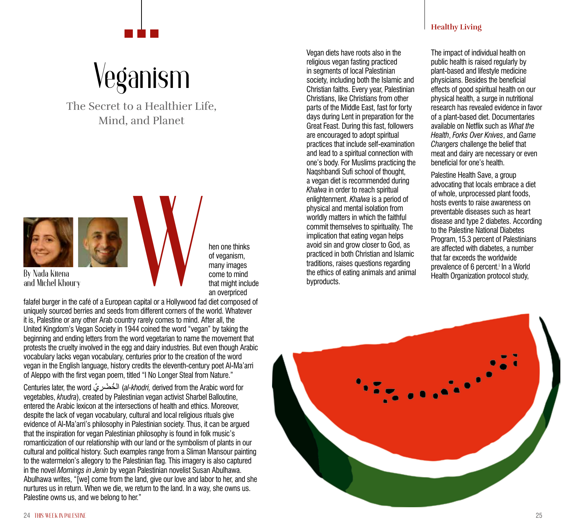## Veganism

The Secret to a Healthier Life, Mind, and Planet



hen one thinks of veganism, many images come to mind that might include an overpriced

**By Nada Kitena** 

falafel burger in the café of a European capital or a Hollywood fad diet composed of uniquely sourced berries and seeds from different corners of the world. Whatever it is, Palestine or any other Arab country rarely comes to mind. After all, the United Kingdom's Vegan Society in 1944 coined the word "vegan" by taking the beginning and ending letters from the word vegetarian to name the movement that protests the cruelty involved in the egg and dairy industries. But even though Arabic vocabulary lacks vegan vocabulary, centuries prior to the creation of the word vegan in the English language, history credits the eleventh-century poet Al-Ma'arri of Aleppo with the first vegan poem, titled "I No Longer Steal from Nature."

Centuries later, the word ّي ِر ْض ُالخ) *al-khodri,* derived from the Arabic word for vegetables, *khudra*), created by Palestinian vegan activist Sharbel Balloutine, entered the Arabic lexicon at the intersections of health and ethics. Moreover, despite the lack of vegan vocabulary, cultural and local religious rituals give evidence of Al-Ma'arri's philosophy in Palestinian society. Thus, it can be argued that the inspiration for vegan Palestinian philosophy is found in folk music's romanticization of our relationship with our land or the symbolism of plants in our cultural and political history. Such examples range from a Sliman Mansour painting to the watermelon's allegory to the Palestinian flag. This imagery is also captured in the novel *Mornings in Jenin* by vegan Palestinian novelist Susan Abulhawa. Abulhawa writes, "[we] come from the land, give our love and labor to her, and she nurtures us in return. When we die, we return to the land. In a way, she owns us. Palestine owns us, and we belong to her."

Vegan diets have roots also in the religious vegan fasting practiced in segments of local Palestinian society, including both the Islamic and Christian faiths. Every year, Palestinian Christians, like Christians from other parts of the Middle East, fast for forty days during Lent in preparation for the Great Feast. During this fast, followers are encouraged to adopt spiritual practices that include self-examination and lead to a spiritual connection with one's body. For Muslims practicing the Naqshbandi Sufi school of thought, a vegan diet is recommended during *Khalwa* in order to reach spiritual enlightenment. *Khalwa* is a period of physical and mental isolation from worldly matters in which the faithful commit themselves to spirituality. The implication that eating vegan helps avoid sin and grow closer to God, as practiced in both Christian and Islamic traditions, raises questions regarding the ethics of eating animals and animal byproducts.

## **Healthy Living**

The impact of individual health on public health is raised regularly by plant-based and lifestyle medicine physicians. Besides the beneficial effects of good spiritual health on our physical health, a surge in nutritional research has revealed evidence in favor of a plant-based diet. Documentaries available on Netflix such as *What the Health*, *Forks Over Knives*, and *Game Changers* challenge the belief that meat and dairy are necessary or even beneficial for one's health.

Palestine Health Save, a group advocating that locals embrace a diet of whole, unprocessed plant foods, hosts events to raise awareness on preventable diseases such as heart disease and type 2 diabetes. According to the Palestine National Diabetes Program,15.3 percent of Palestinians are affected with diabetes, a number that far exceeds the worldwide prevalence of 6 percent.<sup>i</sup> In a World Health Organization protocol study,

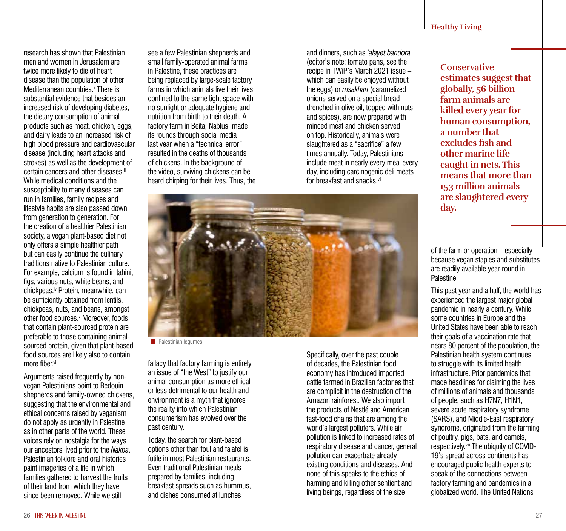research has shown that Palestinian men and women in Jerusalem are twice more likely to die of heart disease than the population of other Mediterranean countries.<sup>ii</sup> There is substantial evidence that besides an increased risk of developing diabetes, the dietary consumption of animal products such as meat, chicken, eggs, and dairy leads to an increased risk of high blood pressure and cardiovascular disease (including heart attacks and strokes) as well as the development of certain cancers and other diseases.<sup>iii</sup> While medical conditions and the susceptibility to many diseases can run in families, family recipes and lifestyle habits are also passed down from generation to generation. For the creation of a healthier Palestinian society, a vegan plant-based diet not only offers a simple healthier path but can easily continue the culinary traditions native to Palestinian culture. For example, calcium is found in tahini, figs, various nuts, white beans, and chickpeas.<sup>iv</sup> Protein, meanwhile, can be sufficiently obtained from lentils, chickpeas, nuts, and beans, amongst other food sources.<sup>v</sup> Moreover, foods that contain plant-sourced protein are preferable to those containing animalsourced protein, given that plant-based food sources are likely also to contain more fiber.vi

Arguments raised frequently by nonvegan Palestinians point to Bedouin shepherds and family-owned chickens, suggesting that the environmental and ethical concerns raised by veganism do not apply as urgently in Palestine as in other parts of the world. These voices rely on nostalgia for the ways our ancestors lived prior to the *Nakba*. Palestinian folklore and oral histories paint imageries of a life in which families gathered to harvest the fruits of their land from which they have since been removed. While we still

see a few Palestinian shepherds and small family-operated animal farms in Palestine, these practices are being replaced by large-scale factory farms in which animals live their lives confined to the same tight space with no sunlight or adequate hygiene and nutrition from birth to their death. A factory farm in Beita, Nablus, made its rounds through social media last year when a "technical error" resulted in the deaths of thousands of chickens. In the background of the video, surviving chickens can be heard chirping for their lives. Thus, the

and dinners, such as *'alayet bandora* (editor's note: tomato pans, see the recipe in TWiP's March 2021 issue – which can easily be enjoyed without the eggs) or *msakhan* (caramelized onions served on a special bread drenched in olive oil, topped with nuts and spices), are now prepared with minced meat and chicken served on top. Historically, animals were slaughtered as a "sacrifice" a few times annually. Today, Palestinians include meat in nearly every meal every day, including carcinogenic deli meats for breakfast and snacks.<sup>vii</sup>

## **Healthy Living**

**Conservative estimates suggest that globally, 56 billion farm animals are killed every year for human consumption, a number that excludes fish and other marine life caught in nets. This means that more than 153 million animals are slaughtered every day.**

of the farm or operation – especially because vegan staples and substitutes are readily available year-round in **Palestine** 

This past year and a half, the world has experienced the largest major global pandemic in nearly a century. While some countries in Europe and the United States have been able to reach their goals of a vaccination rate that nears 80 percent of the population, the Palestinian health system continues to struggle with its limited health infrastructure. Prior pandemics that made headlines for claiming the lives of millions of animals and thousands of people, such as H7N7, H1N1, severe acute respiratory syndrome (SARS), and Middle-East respiratory syndrome, originated from the farming of poultry, pigs, bats, and camels, respectively.viii The ubiquity of COVID-19's spread across continents has encouraged public health experts to speak of the connections between factory farming and pandemics in a globalized world. The United Nations



**Palestinian legumes.** 

fallacy that factory farming is entirely an issue of "the West" to justify our animal consumption as more ethical or less detrimental to our health and environment is a myth that ignores the reality into which Palestinian consumerism has evolved over the past century.

Today, the search for plant-based options other than foul and falafel is futile in most Palestinian restaurants. Even traditional Palestinian meals prepared by families, including breakfast spreads such as hummus, and dishes consumed at lunches

Specifically, over the past couple of decades, the Palestinian food economy has introduced imported cattle farmed in Brazilian factories that are complicit in the destruction of the Amazon rainforest. We also import the products of Nestlé and American fast-food chains that are among the world's largest polluters. While air pollution is linked to increased rates of respiratory disease and cancer, general pollution can exacerbate already existing conditions and diseases. And none of this speaks to the ethics of harming and killing other sentient and living beings, regardless of the size